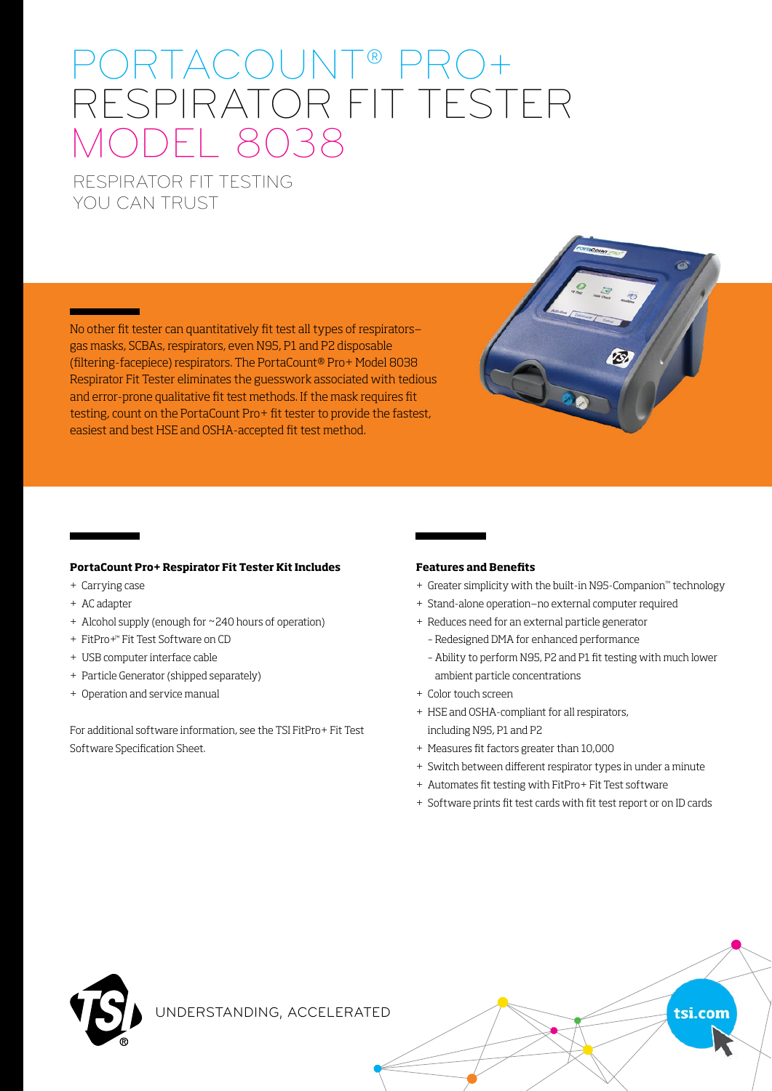# PORTACOUNT® PRO+ RESPIRATOR FIT TESTER MODEL 8038

# RESPIRATOR FIT TESTING YOU CAN TRUST

No other fit tester can quantitatively fit test all types of respirators gas masks, SCBAs, respirators, even N95, P1 and P2 disposable (filtering-facepiece) respirators. The PortaCount® Pro+ Model 8038 Respirator Fit Tester eliminates the guesswork associated with tedious and error-prone qualitative fit test methods. If the mask requires fit testing, count on the PortaCount Pro+ fit tester to provide the fastest, easiest and best HSE and OSHA-accepted fit test method.

#### **PortaCount Pro+ Respirator Fit Tester Kit Includes**

- + Carrying case
- + AC adapter
- + Alcohol supply (enough for ~240 hours of operation)
- + FitPro+™ Fit Test Software on CD
- + USB computer interface cable
- + Particle Generator (shipped separately)
- + Operation and service manual

For additional software information, see the TSI FitPro+ Fit Test Software Specification Sheet.

#### **Features and Benefits**

- + Greater simplicity with the built-in N95-Companion™ technology
- + Stand-alone operation—no external computer required
- + Reduces need for an external particle generator
	- Redesigned DMA for enhanced performance
	- Ability to perform N95, P2 and P1 fit testing with much lower ambient particle concentrations
- + Color touch screen
- + HSE and OSHA-compliant for all respirators, including N95, P1 and P2
- + Measures fit factors greater than 10,000
- + Switch between different respirator types in under a minute
- + Automates fit testing with FitPro+ Fit Test software
- + Software prints fit test cards with fit test report or on ID cards

tsi.com



UNDERSTANDING, ACCELERATED